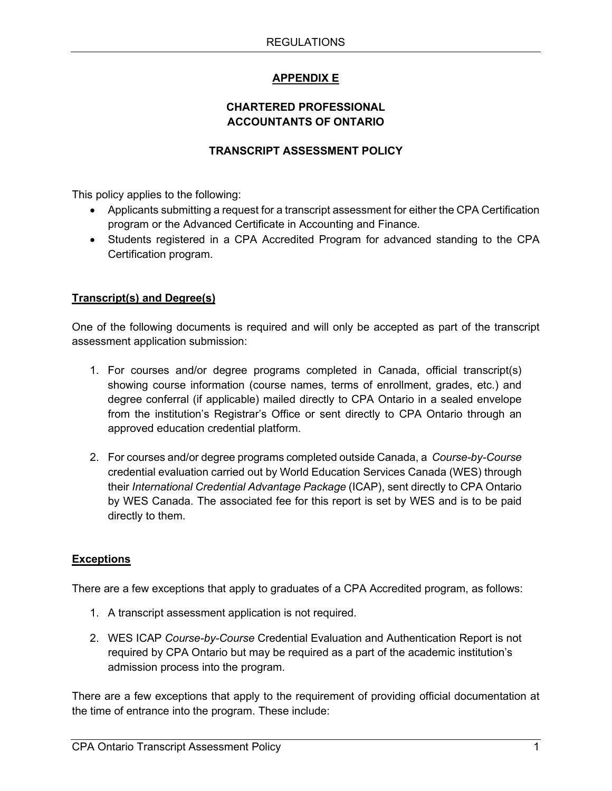# **APPENDIX E**

## **CHARTERED PROFESSIONAL ACCOUNTANTS OF ONTARIO**

### **TRANSCRIPT ASSESSMENT POLICY**

This policy applies to the following:

- Applicants submitting a request for a transcript assessment for either the CPA Certification program or the Advanced Certificate in Accounting and Finance.
- Students registered in a CPA Accredited Program for advanced standing to the CPA Certification program.

## **Transcript(s) and Degree(s)**

One of the following documents is required and will only be accepted as part of the transcript assessment application submission:

- 1. For courses and/or degree programs completed in Canada, official transcript(s) showing course information (course names, terms of enrollment, grades, etc.) and degree conferral (if applicable) mailed directly to CPA Ontario in a sealed envelope from the institution's Registrar's Office or sent directly to CPA Ontario through an approved education credential platform.
- 2. For courses and/or degree programs completed outside Canada, a *Course-by-Course* credential evaluation carried out by World Education Services Canada (WES) through their *International Credential Advantage Package* (ICAP), sent directly to CPA Ontario by WES Canada. The associated fee for this report is set by WES and is to be paid directly to them.

#### **Exceptions**

There are a few exceptions that apply to graduates of a CPA Accredited program, as follows:

- 1. A transcript assessment application is not required.
- 2. WES ICAP *Course-by-Course* Credential Evaluation and Authentication Report is not required by CPA Ontario but may be required as a part of the academic institution's admission process into the program.

There are a few exceptions that apply to the requirement of providing official documentation at the time of entrance into the program. These include: